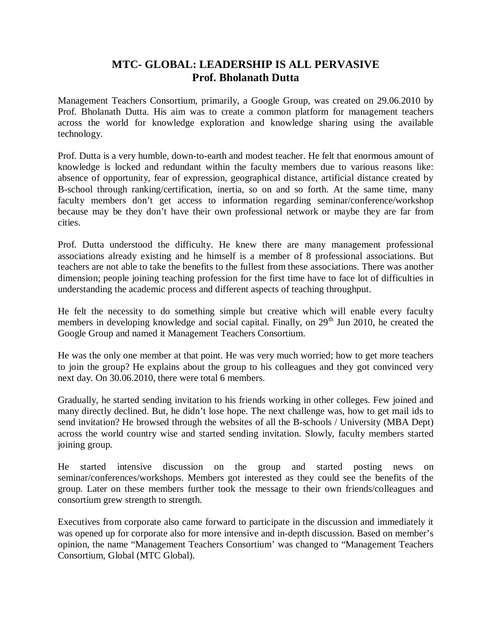## **MTC- GLOBAL: LEADERSHIP IS ALL PERVASIVE Prof. Bholanath Dutta**

Management Teachers Consortium, primarily, a Google Group, was created on 29.06.2010 by Prof. Bholanath Dutta. His aim was to create a common platform for management teachers across the world for knowledge exploration and knowledge sharing using the available technology.

Prof. Dutta is a very humble, down-to-earth and modest teacher. He felt that enormous amount of knowledge is locked and redundant within the faculty members due to various reasons like: absence of opportunity, fear of expression, geographical distance, artificial distance created by B-school through ranking/certification, inertia, so on and so forth. At the same time, many faculty members don't get access to information regarding seminar/conference/workshop because may be they don't have their own professional network or maybe they are far from cities.

Prof. Dutta understood the difficulty. He knew there are many management professional associations already existing and he himself is a member of 8 professional associations. But teachers are not able to take the benefits to the fullest from these associations. There was another dimension; people joining teaching profession for the first time have to face lot of difficulties in understanding the academic process and different aspects of teaching throughput.

He felt the necessity to do something simple but creative which will enable every faculty members in developing knowledge and social capital. Finally, on  $29<sup>th</sup>$  Jun 2010, he created the Google Group and named it Management Teachers Consortium.

He was the only one member at that point. He was very much worried; how to get more teachers to join the group? He explains about the group to his colleagues and they got convinced very next day. On 30.06.2010, there were total 6 members.

Gradually, he started sending invitation to his friends working in other colleges. Few joined and many directly declined. But, he didn't lose hope. The next challenge was, how to get mail ids to send invitation? He browsed through the websites of all the B-schools / University (MBA Dept) across the world country wise and started sending invitation. Slowly, faculty members started joining group.

He started intensive discussion on the group and started posting news on seminar/conferences/workshops. Members got interested as they could see the benefits of the group. Later on these members further took the message to their own friends/colleagues and consortium grew strength to strength.

Executives from corporate also came forward to participate in the discussion and immediately it was opened up for corporate also for more intensive and in-depth discussion. Based on member's opinion, the name "Management Teachers Consortium' was changed to "Management Teachers Consortium, Global (MTC Global).